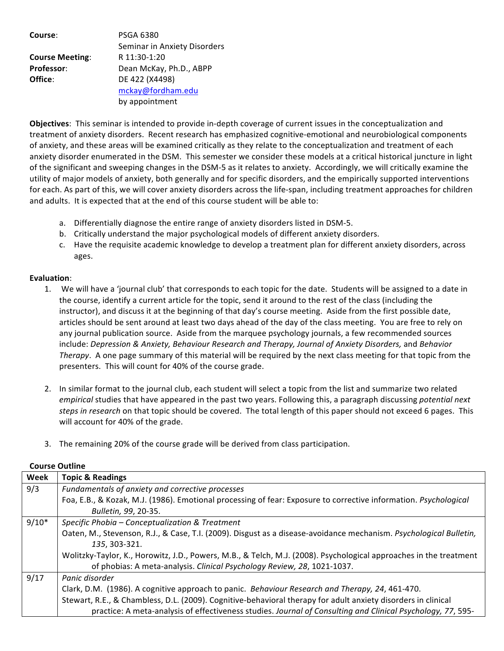| Course:                | <b>PSGA 6380</b>             |
|------------------------|------------------------------|
|                        | Seminar in Anxiety Disorders |
| <b>Course Meeting:</b> | R 11:30-1:20                 |
| <b>Professor:</b>      | Dean McKay, Ph.D., ABPP      |
| Office:                | DE 422 (X4498)               |
|                        | mckay@fordham.edu            |
|                        | by appointment               |

**Objectives:** This seminar is intended to provide in-depth coverage of current issues in the conceptualization and treatment of anxiety disorders. Recent research has emphasized cognitive-emotional and neurobiological components of anxiety, and these areas will be examined critically as they relate to the conceptualization and treatment of each anxiety disorder enumerated in the DSM. This semester we consider these models at a critical historical juncture in light of the significant and sweeping changes in the DSM-5 as it relates to anxiety. Accordingly, we will critically examine the utility of major models of anxiety, both generally and for specific disorders, and the empirically supported interventions for each. As part of this, we will cover anxiety disorders across the life-span, including treatment approaches for children and adults. It is expected that at the end of this course student will be able to:

- a. Differentially diagnose the entire range of anxiety disorders listed in DSM-5.
- b. Critically understand the major psychological models of different anxiety disorders.
- c. Have the requisite academic knowledge to develop a treatment plan for different anxiety disorders, across ages.

## **Evaluation**:

- 1. We will have a 'journal club' that corresponds to each topic for the date. Students will be assigned to a date in the course, identify a current article for the topic, send it around to the rest of the class (including the instructor), and discuss it at the beginning of that day's course meeting. Aside from the first possible date, articles should be sent around at least two days ahead of the day of the class meeting. You are free to rely on any journal publication source. Aside from the marquee psychology journals, a few recommended sources include: *Depression & Anxiety, Behaviour Research and Therapy, Journal of Anxiety Disorders, and Behavior Therapy*. A one page summary of this material will be required by the next class meeting for that topic from the presenters. This will count for 40% of the course grade.
- 2. In similar format to the journal club, each student will select a topic from the list and summarize two related *empirical* studies that have appeared in the past two years. Following this, a paragraph discussing potential next steps in research on that topic should be covered. The total length of this paper should not exceed 6 pages. This will account for 40% of the grade.
- 3. The remaining 20% of the course grade will be derived from class participation.

| Week    | <b>Topic &amp; Readings</b>                                                                                        |
|---------|--------------------------------------------------------------------------------------------------------------------|
| 9/3     | Fundamentals of anxiety and corrective processes                                                                   |
|         | Foa, E.B., & Kozak, M.J. (1986). Emotional processing of fear: Exposure to corrective information. Psychological   |
|         | Bulletin, 99, 20-35.                                                                                               |
| $9/10*$ | Specific Phobia - Conceptualization & Treatment                                                                    |
|         | Oaten, M., Stevenson, R.J., & Case, T.I. (2009). Disgust as a disease-avoidance mechanism. Psychological Bulletin, |
|         | 135, 303-321.                                                                                                      |
|         | Wolitzky-Taylor, K., Horowitz, J.D., Powers, M.B., & Telch, M.J. (2008). Psychological approaches in the treatment |
|         | of phobias: A meta-analysis. Clinical Psychology Review, 28, 1021-1037.                                            |
| 9/17    | Panic disorder                                                                                                     |
|         | Clark, D.M. (1986). A cognitive approach to panic. Behaviour Research and Therapy, 24, 461-470.                    |
|         | Stewart, R.E., & Chambless, D.L. (2009). Cognitive-behavioral therapy for adult anxiety disorders in clinical      |
|         | practice: A meta-analysis of effectiveness studies. Journal of Consulting and Clinical Psychology, 77, 595-        |

## **Course Outline**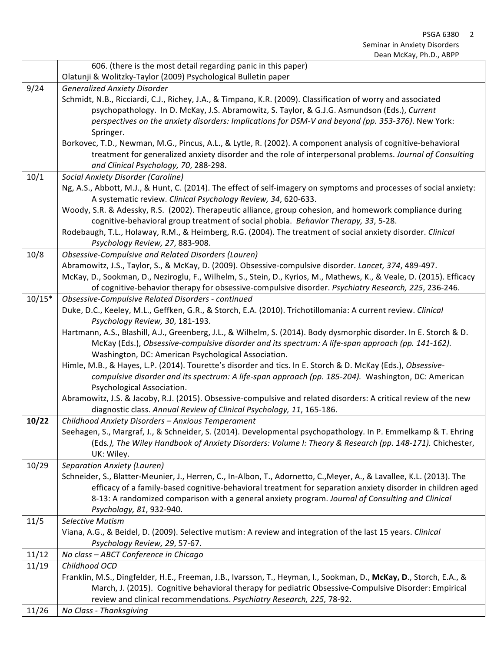|          | 606. (there is the most detail regarding panic in this paper)                                                        |
|----------|----------------------------------------------------------------------------------------------------------------------|
|          | Olatunji & Wolitzky-Taylor (2009) Psychological Bulletin paper                                                       |
| 9/24     | <b>Generalized Anxiety Disorder</b>                                                                                  |
|          | Schmidt, N.B., Ricciardi, C.J., Richey, J.A., & Timpano, K.R. (2009). Classification of worry and associated         |
|          | psychopathology. In D. McKay, J.S. Abramowitz, S. Taylor, & G.J.G. Asmundson (Eds.), Current                         |
|          | perspectives on the anxiety disorders: Implications for DSM-V and beyond (pp. 353-376). New York:                    |
|          | Springer.                                                                                                            |
|          | Borkovec, T.D., Newman, M.G., Pincus, A.L., & Lytle, R. (2002). A component analysis of cognitive-behavioral         |
|          | treatment for generalized anxiety disorder and the role of interpersonal problems. Journal of Consulting             |
|          | and Clinical Psychology, 70, 288-298.                                                                                |
| 10/1     | <b>Social Anxiety Disorder (Caroline)</b>                                                                            |
|          | Ng, A.S., Abbott, M.J., & Hunt, C. (2014). The effect of self-imagery on symptoms and processes of social anxiety:   |
|          | A systematic review. Clinical Psychology Review, 34, 620-633.                                                        |
|          | Woody, S.R. & Adessky, R.S. (2002). Therapeutic alliance, group cohesion, and homework compliance during             |
|          | cognitive-behavioral group treatment of social phobia. Behavior Therapy, 33, 5-28.                                   |
|          | Rodebaugh, T.L., Holaway, R.M., & Heimberg, R.G. (2004). The treatment of social anxiety disorder. Clinical          |
|          | Psychology Review, 27, 883-908.                                                                                      |
| 10/8     | Obsessive-Compulsive and Related Disorders (Lauren)                                                                  |
|          | Abramowitz, J.S., Taylor, S., & McKay, D. (2009). Obsessive-compulsive disorder. Lancet, 374, 489-497.               |
|          | McKay, D., Sookman, D., Neziroglu, F., Wilhelm, S., Stein, D., Kyrios, M., Mathews, K., & Veale, D. (2015). Efficacy |
|          | of cognitive-behavior therapy for obsessive-compulsive disorder. Psychiatry Research, 225, 236-246.                  |
| $10/15*$ | Obsessive-Compulsive Related Disorders - continued                                                                   |
|          | Duke, D.C., Keeley, M.L., Geffken, G.R., & Storch, E.A. (2010). Trichotillomania: A current review. Clinical         |
|          | Psychology Review, 30, 181-193.                                                                                      |
|          | Hartmann, A.S., Blashill, A.J., Greenberg, J.L., & Wilhelm, S. (2014). Body dysmorphic disorder. In E. Storch & D.   |
|          | McKay (Eds.), Obsessive-compulsive disorder and its spectrum: A life-span approach (pp. 141-162).                    |
|          | Washington, DC: American Psychological Association.                                                                  |
|          | Himle, M.B., & Hayes, L.P. (2014). Tourette's disorder and tics. In E. Storch & D. McKay (Eds.), Obsessive-          |
|          | compulsive disorder and its spectrum: A life-span approach (pp. 185-204). Washington, DC: American                   |
|          | Psychological Association.                                                                                           |
|          | Abramowitz, J.S. & Jacoby, R.J. (2015). Obsessive-compulsive and related disorders: A critical review of the new     |
|          | diagnostic class. Annual Review of Clinical Psychology, 11, 165-186.                                                 |
| 10/22    | Childhood Anxiety Disorders - Anxious Temperament                                                                    |
|          | Seehagen, S., Margraf, J., & Schneider, S. (2014). Developmental psychopathology. In P. Emmelkamp & T. Ehring        |
|          | (Eds.), The Wiley Handbook of Anxiety Disorders: Volume I: Theory & Research (pp. 148-171). Chichester,              |
| 10/29    | UK: Wiley.<br><b>Separation Anxiety (Lauren)</b>                                                                     |
|          | Schneider, S., Blatter-Meunier, J., Herren, C., In-Albon, T., Adornetto, C., Meyer, A., & Lavallee, K.L. (2013). The |
|          | efficacy of a family-based cognitive-behavioral treatment for separation anxiety disorder in children aged           |
|          | 8-13: A randomized comparison with a general anxiety program. Journal of Consulting and Clinical                     |
|          | Psychology, 81, 932-940.                                                                                             |
| 11/5     | Selective Mutism                                                                                                     |
|          | Viana, A.G., & Beidel, D. (2009). Selective mutism: A review and integration of the last 15 years. Clinical          |
|          | Psychology Review, 29, 57-67.                                                                                        |
| 11/12    | No class - ABCT Conference in Chicago                                                                                |
| 11/19    | Childhood OCD                                                                                                        |
|          | Franklin, M.S., Dingfelder, H.E., Freeman, J.B., Ivarsson, T., Heyman, I., Sookman, D., McKay, D., Storch, E.A., &   |
|          | March, J. (2015). Cognitive behavioral therapy for pediatric Obsessive-Compulsive Disorder: Empirical                |
|          | review and clinical recommendations. Psychiatry Research, 225, 78-92.                                                |
| 11/26    | No Class - Thanksgiving                                                                                              |
|          |                                                                                                                      |